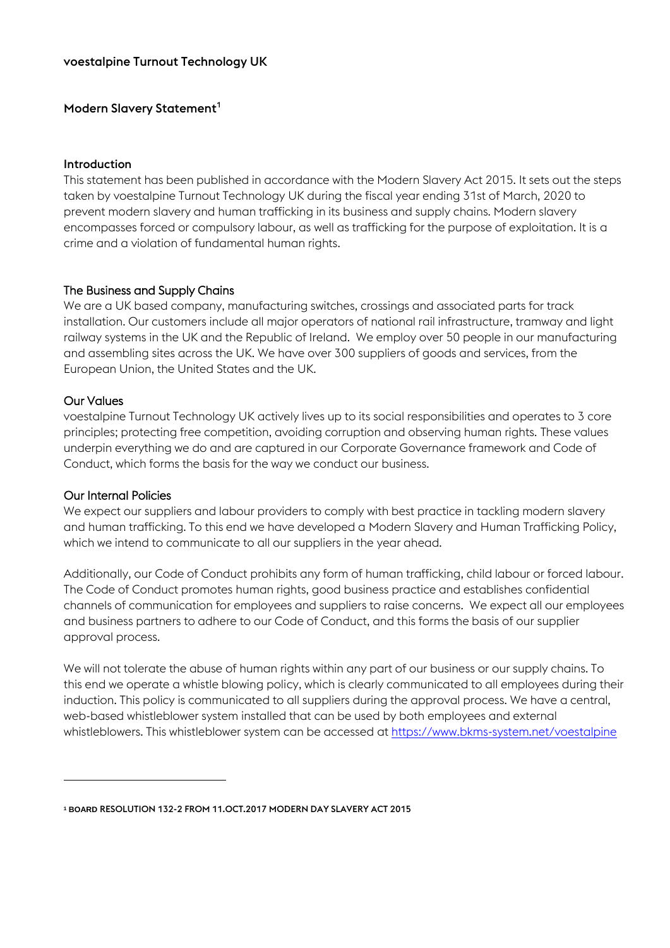# voestalpine Turnout Technology UK

# Modern Slavery Statement<sup>1</sup>

#### Introduction

This statement has been published in accordance with the Modern Slavery Act 2015. It sets out the steps taken by voestalpine Turnout Technology UK during the fiscal year ending 31st of March, 2020 to prevent modern slavery and human trafficking in its business and supply chains. Modern slavery encompasses forced or compulsory labour, as well as trafficking for the purpose of exploitation. It is a crime and a violation of fundamental human rights.

# The Business and Supply Chains

We are a UK based company, manufacturing switches, crossings and associated parts for track installation. Our customers include all major operators of national rail infrastructure, tramway and light railway systems in the UK and the Republic of Ireland. We employ over 50 people in our manufacturing and assembling sites across the UK. We have over 300 suppliers of goods and services, from the European Union, the United States and the UK.

### Our Values

1

voestalpine Turnout Technology UK actively lives up to its social responsibilities and operates to 3 core principles; protecting free competition, avoiding corruption and observing human rights. These values underpin everything we do and are captured in our Corporate Governance framework and Code of Conduct, which forms the basis for the way we conduct our business.

#### Our Internal Policies

We expect our suppliers and labour providers to comply with best practice in tackling modern slavery and human trafficking. To this end we have developed a Modern Slavery and Human Trafficking Policy, which we intend to communicate to all our suppliers in the year ahead.

Additionally, our Code of Conduct prohibits any form of human trafficking, child labour or forced labour. The Code of Conduct promotes human rights, good business practice and establishes confidential channels of communication for employees and suppliers to raise concerns. We expect all our employees and business partners to adhere to our Code of Conduct, and this forms the basis of our supplier approval process.

We will not tolerate the abuse of human rights within any part of our business or our supply chains. To this end we operate a whistle blowing policy, which is clearly communicated to all employees during their induction. This policy is communicated to all suppliers during the approval process. We have a central, web-based whistleblower system installed that can be used by both employees and external whistleblowers. This whistleblower system can be accessed a[t https://www.bkms-system.net/voestalpine](https://www.bkms-system.net/voestalpine)

**<sup>1</sup> BOARD** RESOLUTION 132-2 FROM 11.OCT.2017 MODERN DAY SLAVERY ACT 2015